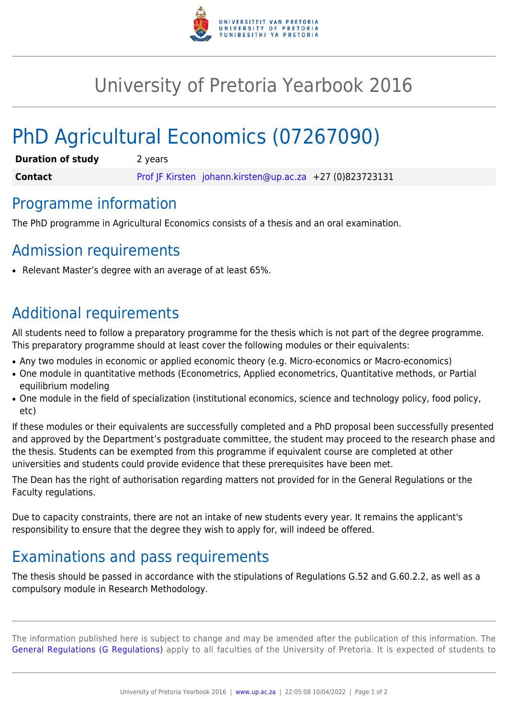

## University of Pretoria Yearbook 2016

# PhD Agricultural Economics (07267090)

| <b>Duration of study</b> | 2 years                                                  |
|--------------------------|----------------------------------------------------------|
| <b>Contact</b>           | Prof JF Kirsten johann.kirsten@up.ac.za +27 (0)823723131 |

#### Programme information

The PhD programme in Agricultural Economics consists of a thesis and an oral examination.

#### Admission requirements

Relevant Master's degree with an average of at least 65%.

### Additional requirements

All students need to follow a preparatory programme for the thesis which is not part of the degree programme. This preparatory programme should at least cover the following modules or their equivalents:

- Any two modules in economic or applied economic theory (e.g. Micro-economics or Macro-economics)
- One module in quantitative methods (Econometrics, Applied econometrics, Quantitative methods, or Partial equilibrium modeling
- One module in the field of specialization (institutional economics, science and technology policy, food policy, etc)

If these modules or their equivalents are successfully completed and a PhD proposal been successfully presented and approved by the Department's postgraduate committee, the student may proceed to the research phase and the thesis. Students can be exempted from this programme if equivalent course are completed at other universities and students could provide evidence that these prerequisites have been met.

The Dean has the right of authorisation regarding matters not provided for in the General Regulations or the Faculty regulations.

Due to capacity constraints, there are not an intake of new students every year. It remains the applicant's responsibility to ensure that the degree they wish to apply for, will indeed be offered.

### Examinations and pass requirements

The thesis should be passed in accordance with the stipulations of Regulations G.52 and G.60.2.2, as well as a compulsory module in Research Methodology.

The information published here is subject to change and may be amended after the publication of this information. The [General Regulations \(G Regulations\)](https://www.up.ac.za/faculty-of-education/yearbooks/2016/rules/view/REG) apply to all faculties of the University of Pretoria. It is expected of students to